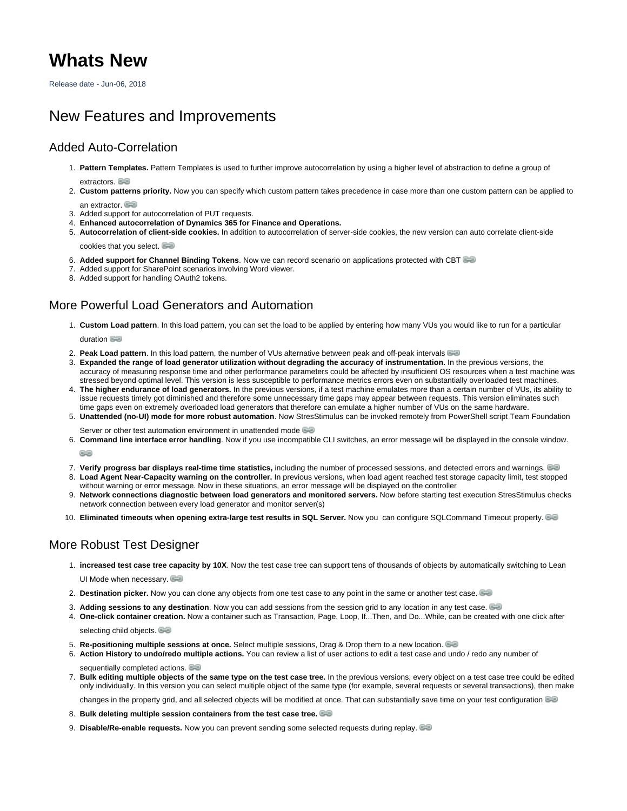# **Whats New**

Release date - Jun-06, 2018

## New Features and Improvements

#### Added Auto-Correlation

- 1. **Pattern Templates.** Pattern Templates is used to further improve autocorrelation by using a higher level of abstraction to define a group of extractors.
- 2. **Custom patterns priority.** Now you can specify which custom pattern takes precedence in case more than one custom pattern can be applied to an extractor.

- 3. Added support for autocorrelation of PUT requests.
- 4. **Enhanced autocorrelation of Dynamics 365 for Finance and Operations.**
- 5. **Autocorrelation of client-side cookies.** In addition to autocorrelation of server-side cookies, the new version can auto correlate client-side cookies that you select.

- 6. **Added support for Channel Binding Tokens**. Now we can record scenario on applications protected with CBT
- 7. Added support for SharePoint scenarios involving Word viewer.
- 8. Added support for handling OAuth2 tokens.

#### More Powerful Load Generators and Automation

- 1. **Custom Load pattern**. In this load pattern, you can set the load to be applied by entering how many VUs you would like to run for a particular duration**B**
- 2. **Peak Load pattern**. In this load pattern, the number of VUs alternative between peak and off-peak intervals
- 3. **Expanded the range of load generator utilization without degrading the accuracy of instrumentation.** In the previous versions, the accuracy of measuring response time and other performance parameters could be affected by insufficient OS resources when a test machine was stressed beyond optimal level. This version is less susceptible to performance metrics errors even on substantially overloaded test machines.
- 4. **The higher endurance of load generators.** In the previous versions, if a test machine emulates more than a certain number of VUs, its ability to issue requests timely got diminished and therefore some unnecessary time gaps may appear between requests. This version eliminates such time gaps even on extremely overloaded load generators that therefore can emulate a higher number of VUs on the same hardware.
- 5. **Unattended (no-UI) mode for more robust automation**. Now StresStimulus can be invoked remotely from PowerShell script Team Foundation Serveror other test automation environment in unattended mode
- 6. **Command line interface error handling**. Now if you use incompatible CLI switches, an error message will be displayed in the console window.

63

- 7. **Verify progress bar displays real-time time statistics,** including the number of processed sessions, and detected errors and warnings. 8. **Load Agent Near-Capacity warning on the controller.** In previous versions, when load agent reached test storage capacity limit, test stopped without warning or error message. Now in these situations, an error message will be displayed on the controller
- 9. **Network connections diagnostic between load generators and monitored servers.** Now before starting test execution StresStimulus checks network connection between every load generator and monitor server(s)
- 10. **Eliminated timeouts when opening extra-large test results in SQL Server.** Now you can configure SQLCommand Timeout property.

### More Robust Test Designer

- 1. **increased test case tree [capa](https://support.stresstimulus.com/display/doc49/Extractor+Tree)city by 10X**. Now the test case tree can support tens of thousands of objects by automatically switching to Lean UI Mode when necessary.
- 2. **Destination picker.** Now you can clone any objects from one test case to any point in the same or another test case.
- 3. **Adding sessions to any destination**. Now you can add sessions from the session grid to any location in any test case.
- 4. **One-click container c[reat](https://support.stresstimulus.com/display/doc49/Session+Containers)ion.** Now a container such as Transaction, Page, Loop, If...Then, and Do...While, can be created with one click after

selecting child objects.

- 5. **Re-positioning multiple sessions at once.** Select multiple sessions, Drag & Drop them to a new location.
- 6. **Action History to undo/redo multiple actions.** You can review a list of user actions to edit a test case and undo / redo any number of sequentiallycompleted actions.
- 7. **Bulk editing multiple objects of the same type on the test case tree.** In the previous versions, every object on a test case tree could be edited only individually. In this version you can select multiple object of the same type (for example, several requests or several transactions), then make

changesin the property grid, and all selected objects will be modified at once. That can substantially save time on your test configuration

- 8. **Bulk deleting multiple session containers from the test case tree.**
- 9. **Disable/Re-enable requests.** Now you can prevent sending some selected requests during replay.